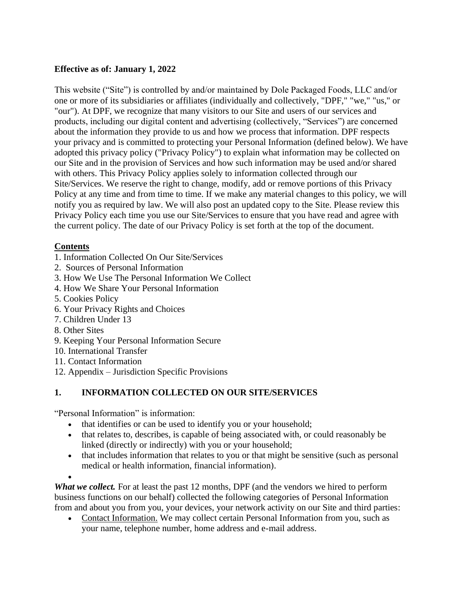## **Effective as of: January 1, 2022**

This website ("Site") is controlled by and/or maintained by Dole Packaged Foods, LLC and/or one or more of its subsidiaries or affiliates (individually and collectively, "DPF," "we," "us," or "our"). At DPF, we recognize that many visitors to our Site and users of our services and products, including our digital content and advertising (collectively, "Services") are concerned about the information they provide to us and how we process that information. DPF respects your privacy and is committed to protecting your Personal Information (defined below). We have adopted this privacy policy ("Privacy Policy") to explain what information may be collected on our Site and in the provision of Services and how such information may be used and/or shared with others. This Privacy Policy applies solely to information collected through our Site/Services. We reserve the right to change, modify, add or remove portions of this Privacy Policy at any time and from time to time. If we make any material changes to this policy, we will notify you as required by law. We will also post an updated copy to the Site. Please review this Privacy Policy each time you use our Site/Services to ensure that you have read and agree with the current policy. The date of our Privacy Policy is set forth at the top of the document.

### **Contents**

- 1. Information Collected On Our Site/Services
- 2. Sources of Personal Information
- 3. How We Use The Personal Information We Collect
- 4. How We Share Your Personal Information
- 5. Cookies Policy
- 6. Your Privacy Rights and Choices
- 7. Children Under 13
- 8. Other Sites
- 9. Keeping Your Personal Information Secure
- 10. International Transfer
- 11. Contact Information
- 12. Appendix Jurisdiction Specific Provisions

# **1. INFORMATION COLLECTED ON OUR SITE/SERVICES**

"Personal Information" is information:

- that identifies or can be used to identify you or your household;
- that relates to, describes, is capable of being associated with, or could reasonably be linked (directly or indirectly) with you or your household;
- that includes information that relates to you or that might be sensitive (such as personal medical or health information, financial information).
- •

*What we collect.* For at least the past 12 months, DPF (and the vendors we hired to perform business functions on our behalf) collected the following categories of Personal Information from and about you from you, your devices, your network activity on our Site and third parties:

• Contact Information. We may collect certain Personal Information from you, such as your name, telephone number, home address and e-mail address.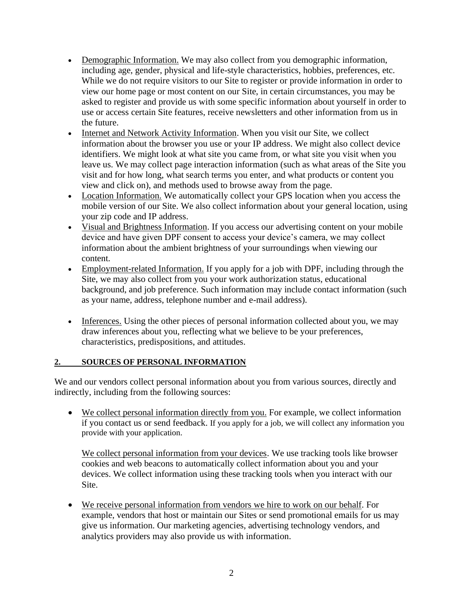- Demographic Information. We may also collect from you demographic information, including age, gender, physical and life-style characteristics, hobbies, preferences, etc. While we do not require visitors to our Site to register or provide information in order to view our home page or most content on our Site, in certain circumstances, you may be asked to register and provide us with some specific information about yourself in order to use or access certain Site features, receive newsletters and other information from us in the future.
- Internet and Network Activity Information. When you visit our Site, we collect information about the browser you use or your IP address. We might also collect device identifiers. We might look at what site you came from, or what site you visit when you leave us. We may collect page interaction information (such as what areas of the Site you visit and for how long, what search terms you enter, and what products or content you view and click on), and methods used to browse away from the page.
- Location Information. We automatically collect your GPS location when you access the mobile version of our Site. We also collect information about your general location, using your zip code and IP address.
- Visual and Brightness Information. If you access our advertising content on your mobile device and have given DPF consent to access your device's camera, we may collect information about the ambient brightness of your surroundings when viewing our content.
- Employment-related Information. If you apply for a job with DPF, including through the Site, we may also collect from you your work authorization status, educational background, and job preference. Such information may include contact information (such as your name, address, telephone number and e-mail address).
- Inferences. Using the other pieces of personal information collected about you, we may draw inferences about you, reflecting what we believe to be your preferences, characteristics, predispositions, and attitudes.

### **2. SOURCES OF PERSONAL INFORMATION**

We and our vendors collect personal information about you from various sources, directly and indirectly, including from the following sources:

• We collect personal information directly from you. For example, we collect information if you contact us or send feedback. If you apply for a job, we will collect any information you provide with your application.

We collect personal information from your devices. We use tracking tools like browser cookies and web beacons to automatically collect information about you and your devices. We collect information using these tracking tools when you interact with our Site.

• We receive personal information from vendors we hire to work on our behalf. For example, vendors that host or maintain our Sites or send promotional emails for us may give us information. Our marketing agencies, advertising technology vendors, and analytics providers may also provide us with information.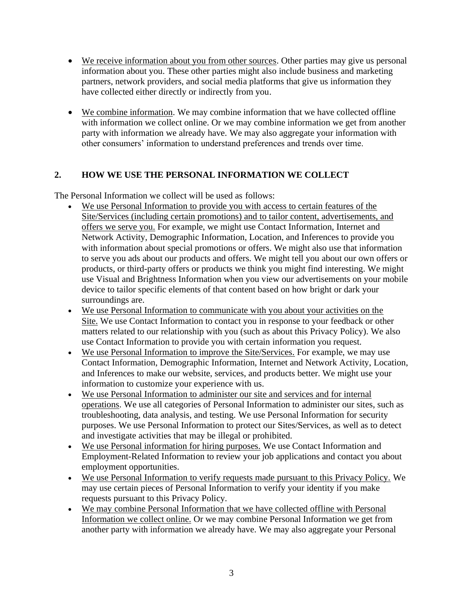- We receive information about you from other sources. Other parties may give us personal information about you. These other parties might also include business and marketing partners, network providers, and social media platforms that give us information they have collected either directly or indirectly from you.
- We combine information. We may combine information that we have collected offline with information we collect online. Or we may combine information we get from another party with information we already have. We may also aggregate your information with other consumers' information to understand preferences and trends over time.

## **2. HOW WE USE THE PERSONAL INFORMATION WE COLLECT**

The Personal Information we collect will be used as follows:

- We use Personal Information to provide you with access to certain features of the Site/Services (including certain promotions) and to tailor content, advertisements, and offers we serve you. For example, we might use Contact Information, Internet and Network Activity, Demographic Information, Location, and Inferences to provide you with information about special promotions or offers. We might also use that information to serve you ads about our products and offers. We might tell you about our own offers or products, or third-party offers or products we think you might find interesting. We might use Visual and Brightness Information when you view our advertisements on your mobile device to tailor specific elements of that content based on how bright or dark your surroundings are.
- We use Personal Information to communicate with you about your activities on the Site. We use Contact Information to contact you in response to your feedback or other matters related to our relationship with you (such as about this Privacy Policy). We also use Contact Information to provide you with certain information you request.
- We use Personal Information to improve the Site/Services. For example, we may use Contact Information, Demographic Information, Internet and Network Activity, Location, and Inferences to make our website, services, and products better. We might use your information to customize your experience with us.
- We use Personal Information to administer our site and services and for internal operations. We use all categories of Personal Information to administer our sites, such as troubleshooting, data analysis, and testing. We use Personal Information for security purposes. We use Personal Information to protect our Sites/Services, as well as to detect and investigate activities that may be illegal or prohibited.
- We use Personal information for hiring purposes. We use Contact Information and Employment-Related Information to review your job applications and contact you about employment opportunities.
- We use Personal Information to verify requests made pursuant to this Privacy Policy. We may use certain pieces of Personal Information to verify your identity if you make requests pursuant to this Privacy Policy.
- We may combine Personal Information that we have collected offline with Personal Information we collect online. Or we may combine Personal Information we get from another party with information we already have. We may also aggregate your Personal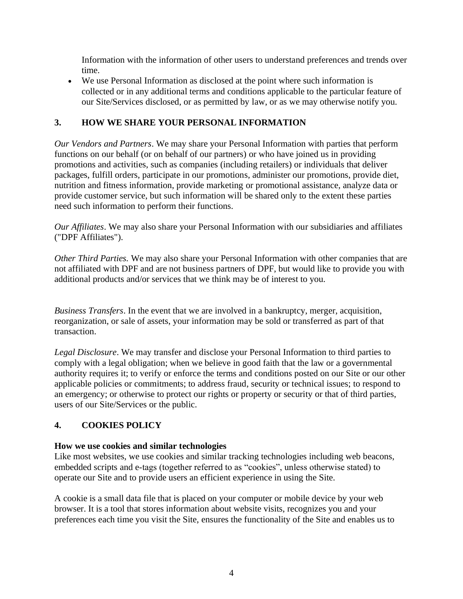Information with the information of other users to understand preferences and trends over time.

• We use Personal Information as disclosed at the point where such information is collected or in any additional terms and conditions applicable to the particular feature of our Site/Services disclosed, or as permitted by law, or as we may otherwise notify you.

## **3. HOW WE SHARE YOUR PERSONAL INFORMATION**

*Our Vendors and Partners*. We may share your Personal Information with parties that perform functions on our behalf (or on behalf of our partners) or who have joined us in providing promotions and activities, such as companies (including retailers) or individuals that deliver packages, fulfill orders, participate in our promotions, administer our promotions, provide diet, nutrition and fitness information, provide marketing or promotional assistance, analyze data or provide customer service, but such information will be shared only to the extent these parties need such information to perform their functions.

*Our Affiliates*. We may also share your Personal Information with our subsidiaries and affiliates ("DPF Affiliates").

*Other Third Parties.* We may also share your Personal Information with other companies that are not affiliated with DPF and are not business partners of DPF, but would like to provide you with additional products and/or services that we think may be of interest to you.

*Business Transfers*. In the event that we are involved in a bankruptcy, merger, acquisition, reorganization, or sale of assets, your information may be sold or transferred as part of that transaction.

*Legal Disclosure*. We may transfer and disclose your Personal Information to third parties to comply with a legal obligation; when we believe in good faith that the law or a governmental authority requires it; to verify or enforce the terms and conditions posted on our Site or our other applicable policies or commitments; to address fraud, security or technical issues; to respond to an emergency; or otherwise to protect our rights or property or security or that of third parties, users of our Site/Services or the public.

## **4. COOKIES POLICY**

### **How we use cookies and similar technologies**

Like most websites, we use cookies and similar tracking technologies including web beacons, embedded scripts and e-tags (together referred to as "cookies", unless otherwise stated) to operate our Site and to provide users an efficient experience in using the Site.

A cookie is a small data file that is placed on your computer or mobile device by your web browser. It is a tool that stores information about website visits, recognizes you and your preferences each time you visit the Site, ensures the functionality of the Site and enables us to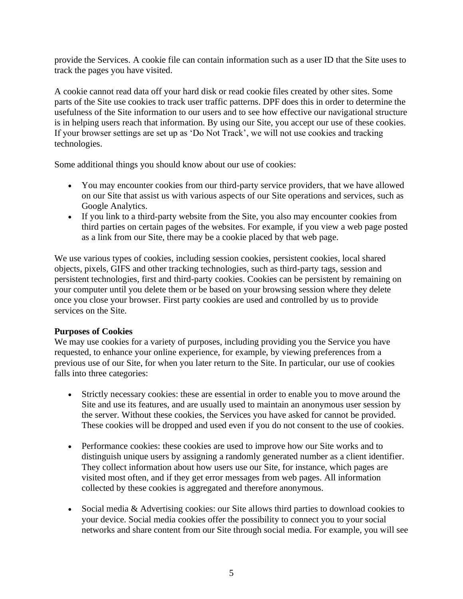provide the Services. A cookie file can contain information such as a user ID that the Site uses to track the pages you have visited.

A cookie cannot read data off your hard disk or read cookie files created by other sites. Some parts of the Site use cookies to track user traffic patterns. DPF does this in order to determine the usefulness of the Site information to our users and to see how effective our navigational structure is in helping users reach that information. By using our Site, you accept our use of these cookies. If your browser settings are set up as 'Do Not Track', we will not use cookies and tracking technologies.

Some additional things you should know about our use of cookies:

- You may encounter cookies from our third-party service providers, that we have allowed on our Site that assist us with various aspects of our Site operations and services, such as Google Analytics.
- If you link to a third-party website from the Site, you also may encounter cookies from third parties on certain pages of the websites. For example, if you view a web page posted as a link from our Site, there may be a cookie placed by that web page.

We use various types of cookies, including session cookies, persistent cookies, local shared objects, pixels, GIFS and other tracking technologies, such as third-party tags, session and persistent technologies, first and third-party cookies. Cookies can be persistent by remaining on your computer until you delete them or be based on your browsing session where they delete once you close your browser. First party cookies are used and controlled by us to provide services on the Site.

#### **Purposes of Cookies**

We may use cookies for a variety of purposes, including providing you the Service you have requested, to enhance your online experience, for example, by viewing preferences from a previous use of our Site, for when you later return to the Site. In particular, our use of cookies falls into three categories:

- Strictly necessary cookies: these are essential in order to enable you to move around the Site and use its features, and are usually used to maintain an anonymous user session by the server. Without these cookies, the Services you have asked for cannot be provided. These cookies will be dropped and used even if you do not consent to the use of cookies.
- Performance cookies: these cookies are used to improve how our Site works and to distinguish unique users by assigning a randomly generated number as a client identifier. They collect information about how users use our Site, for instance, which pages are visited most often, and if they get error messages from web pages. All information collected by these cookies is aggregated and therefore anonymous.
- Social media & Advertising cookies: our Site allows third parties to download cookies to your device. Social media cookies offer the possibility to connect you to your social networks and share content from our Site through social media. For example, you will see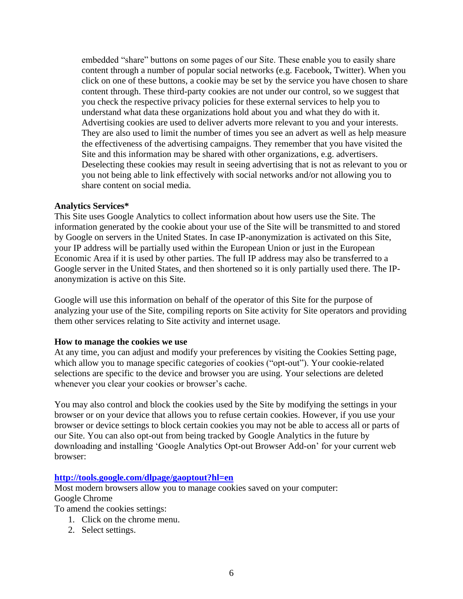embedded "share" buttons on some pages of our Site. These enable you to easily share content through a number of popular social networks (e.g. Facebook, Twitter). When you click on one of these buttons, a cookie may be set by the service you have chosen to share content through. These third-party cookies are not under our control, so we suggest that you check the respective privacy policies for these external services to help you to understand what data these organizations hold about you and what they do with it. Advertising cookies are used to deliver adverts more relevant to you and your interests. They are also used to limit the number of times you see an advert as well as help measure the effectiveness of the advertising campaigns. They remember that you have visited the Site and this information may be shared with other organizations, e.g. advertisers. Deselecting these cookies may result in seeing advertising that is not as relevant to you or you not being able to link effectively with social networks and/or not allowing you to share content on social media.

#### **Analytics Services\***

This Site uses Google Analytics to collect information about how users use the Site. The information generated by the cookie about your use of the Site will be transmitted to and stored by Google on servers in the United States. In case IP-anonymization is activated on this Site, your IP address will be partially used within the European Union or just in the European Economic Area if it is used by other parties. The full IP address may also be transferred to a Google server in the United States, and then shortened so it is only partially used there. The IPanonymization is active on this Site.

Google will use this information on behalf of the operator of this Site for the purpose of analyzing your use of the Site, compiling reports on Site activity for Site operators and providing them other services relating to Site activity and internet usage.

#### **How to manage the cookies we use**

At any time, you can adjust and modify your preferences by visiting the Cookies Setting page, which allow you to manage specific categories of cookies ("opt-out"). Your cookie-related selections are specific to the device and browser you are using. Your selections are deleted whenever you clear your cookies or browser's cache.

You may also control and block the cookies used by the Site by modifying the settings in your browser or on your device that allows you to refuse certain cookies. However, if you use your browser or device settings to block certain cookies you may not be able to access all or parts of our Site. You can also opt-out from being tracked by Google Analytics in the future by downloading and installing 'Google Analytics Opt-out Browser Add-on' for your current web browser:

#### **<http://tools.google.com/dlpage/gaoptout?hl=en>**

Most modern browsers allow you to manage cookies saved on your computer: Google Chrome

To amend the cookies settings:

- 1. Click on the chrome menu.
- 2. Select settings.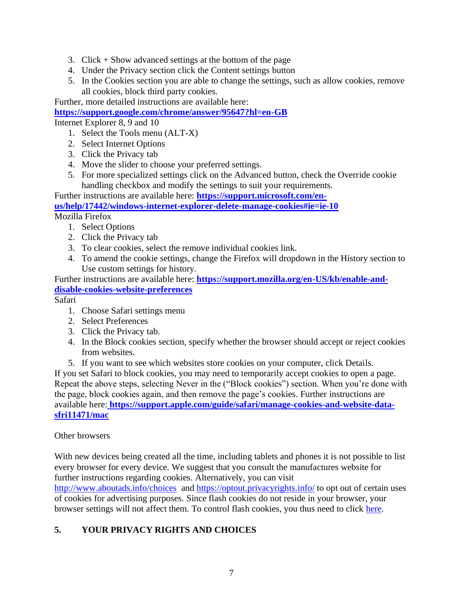- 3. Click  $+$  Show advanced settings at the bottom of the page
- 4. Under the Privacy section click the Content settings button
- 5. In the Cookies section you are able to change the settings, such as allow cookies, remove all cookies, block third party cookies.

Further, more detailed instructions are available here:

## **<https://support.google.com/chrome/answer/95647?hl=en-GB>**

Internet Explorer 8, 9 and 10

- 1. Select the Tools menu (ALT-X)
- 2. Select Internet Options
- 3. Click the Privacy tab
- 4. Move the slider to choose your preferred settings.
- 5. For more specialized settings click on the Advanced button, check the Override cookie handling checkbox and modify the settings to suit your requirements.

Further instructions are available here: **[https://support.microsoft.com/en-](https://support.microsoft.com/en-us/help/17442/windows-internet-explorer-delete-manage-cookies#ie=ie-10)**

**[us/help/17442/windows-internet-explorer-delete-manage-cookies#ie=ie-10](https://support.microsoft.com/en-us/help/17442/windows-internet-explorer-delete-manage-cookies#ie=ie-10)**

Mozilla Firefox

- 1. Select Options
- 2. Click the Privacy tab
- 3. To clear cookies, select the remove individual cookies link.
- 4. To amend the cookie settings, change the Firefox will dropdown in the History section to Use custom settings for history.

Further instructions are available here: **[https://support.mozilla.org/en-US/kb/enable-and](https://support.mozilla.org/en-US/kb/enable-and-disable-cookies-website-preferences)[disable-cookies-website-preferences](https://support.mozilla.org/en-US/kb/enable-and-disable-cookies-website-preferences)**

Safari

- 1. Choose Safari settings menu
- 2. Select Preferences
- 3. Click the Privacy tab.
- 4. In the Block cookies section, specify whether the browser should accept or reject cookies from websites.
- 5. If you want to see which websites store cookies on your computer, click Details.

If you set Safari to block cookies, you may need to temporarily accept cookies to open a page. Repeat the above steps, selecting Never in the ("Block cookies") section. When you're done with the page, block cookies again, and then remove the page's cookies. Further instructions are available here: **[https://support.apple.com/guide/safari/manage-cookies-and-website-data](https://support.apple.com/guide/safari/manage-cookies-and-website-data-sfri11471/mac)[sfri11471/mac](https://support.apple.com/guide/safari/manage-cookies-and-website-data-sfri11471/mac)**

### Other browsers

With new devices being created all the time, including tablets and phones it is not possible to list every browser for every device. We suggest that you consult the manufactures website for further instructions regarding cookies. Alternatively, you can visit

<http://www.aboutads.info/choices> and<https://optout.privacyrights.info/> to opt out of certain uses of cookies for advertising purposes. Since flash cookies do not reside in your browser, your browser settings will not affect them. To control flash cookies, you thus need to click [here.](http://www.macromedia.com/support/documentation/en/flashplayer/help/settings_manager07.html)

## **5. YOUR PRIVACY RIGHTS AND CHOICES**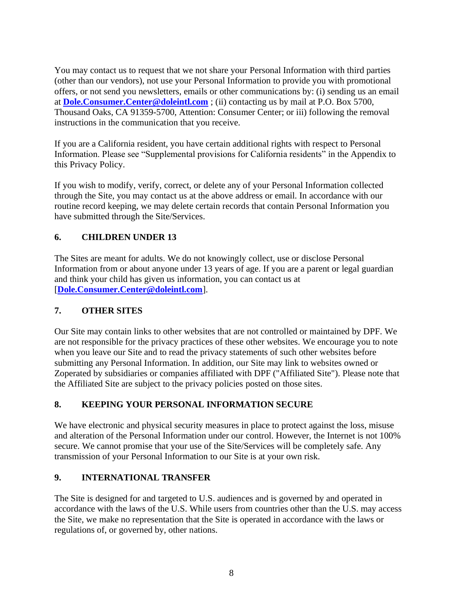You may contact us to request that we not share your Personal Information with third parties (other than our vendors), not use your Personal Information to provide you with promotional offers, or not send you newsletters, emails or other communications by: (i) sending us an email at **[Dole.Consumer.Center@doleintl.com](mailto:Dole.Consumer.Center@doleintl.com)** ; (ii) contacting us by mail at P.O. Box 5700, Thousand Oaks, CA 91359-5700, Attention: Consumer Center; or iii) following the removal instructions in the communication that you receive.

If you are a California resident, you have certain additional rights with respect to Personal Information. Please see "Supplemental provisions for California residents" in the Appendix to this Privacy Policy.

If you wish to modify, verify, correct, or delete any of your Personal Information collected through the Site, you may contact us at the above address or email. In accordance with our routine record keeping, we may delete certain records that contain Personal Information you have submitted through the Site/Services.

## **6. CHILDREN UNDER 13**

The Sites are meant for adults. We do not knowingly collect, use or disclose Personal Information from or about anyone under 13 years of age. If you are a parent or legal guardian and think your child has given us information, you can contact us at [**[Dole.Consumer.Center@doleintl.com](mailto:Dole.Consumer.Center@doleintl.com)**].

### **7. OTHER SITES**

Our Site may contain links to other websites that are not controlled or maintained by DPF. We are not responsible for the privacy practices of these other websites. We encourage you to note when you leave our Site and to read the privacy statements of such other websites before submitting any Personal Information. In addition, our Site may link to websites owned or Zoperated by subsidiaries or companies affiliated with DPF ("Affiliated Site"). Please note that the Affiliated Site are subject to the privacy policies posted on those sites.

### **8. KEEPING YOUR PERSONAL INFORMATION SECURE**

We have electronic and physical security measures in place to protect against the loss, misuse and alteration of the Personal Information under our control. However, the Internet is not 100% secure. We cannot promise that your use of the Site/Services will be completely safe. Any transmission of your Personal Information to our Site is at your own risk.

### **9. INTERNATIONAL TRANSFER**

The Site is designed for and targeted to U.S. audiences and is governed by and operated in accordance with the laws of the U.S. While users from countries other than the U.S. may access the Site, we make no representation that the Site is operated in accordance with the laws or regulations of, or governed by, other nations.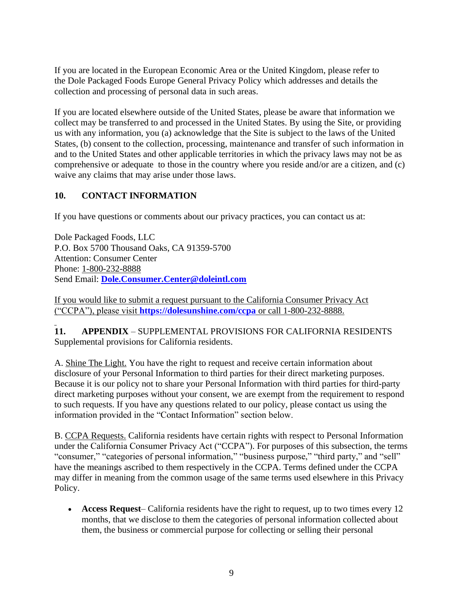If you are located in the European Economic Area or the United Kingdom, please refer to the Dole Packaged Foods Europe General Privacy Policy which addresses and details the collection and processing of personal data in such areas.

If you are located elsewhere outside of the United States, please be aware that information we collect may be transferred to and processed in the United States. By using the Site, or providing us with any information, you (a) acknowledge that the Site is subject to the laws of the United States, (b) consent to the collection, processing, maintenance and transfer of such information in and to the United States and other applicable territories in which the privacy laws may not be as comprehensive or adequate to those in the country where you reside and/or are a citizen, and (c) waive any claims that may arise under those laws.

## **10. CONTACT INFORMATION**

If you have questions or comments about our privacy practices, you can contact us at:

Dole Packaged Foods, LLC P.O. Box 5700 Thousand Oaks, CA 91359-5700 Attention: Consumer Center Phone: 1-800-232-8888 Send Email: **[Dole.Consumer.Center@doleintl.com](mailto:Dole.Consumer.Center@doleintl.com)**

If you would like to submit a request pursuant to the California Consumer Privacy Act ("CCPA"), please visit **<https://dolesunshine.com/ccpa>** or call 1-800-232-8888.

**11. APPENDIX** – SUPPLEMENTAL PROVISIONS FOR CALIFORNIA RESIDENTS Supplemental provisions for California residents.

A. Shine The Light. You have the right to request and receive certain information about disclosure of your Personal Information to third parties for their direct marketing purposes. Because it is our policy not to share your Personal Information with third parties for third-party direct marketing purposes without your consent, we are exempt from the requirement to respond to such requests. If you have any questions related to our policy, please contact us using the information provided in the "Contact Information" section below.

B. CCPA Requests. California residents have certain rights with respect to Personal Information under the California Consumer Privacy Act ("CCPA"). For purposes of this subsection, the terms "consumer," "categories of personal information," "business purpose," "third party," and "sell" have the meanings ascribed to them respectively in the CCPA. Terms defined under the CCPA may differ in meaning from the common usage of the same terms used elsewhere in this Privacy Policy.

• **Access Request**– California residents have the right to request, up to two times every 12 months, that we disclose to them the categories of personal information collected about them, the business or commercial purpose for collecting or selling their personal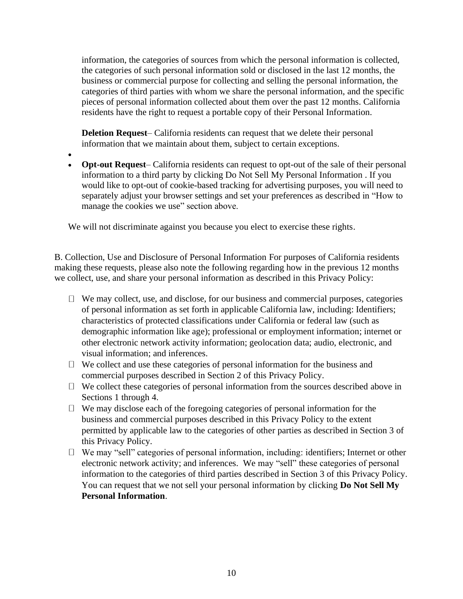information, the categories of sources from which the personal information is collected, the categories of such personal information sold or disclosed in the last 12 months, the business or commercial purpose for collecting and selling the personal information, the categories of third parties with whom we share the personal information, and the specific pieces of personal information collected about them over the past 12 months. California residents have the right to request a portable copy of their Personal Information.

**Deletion Request**– California residents can request that we delete their personal information that we maintain about them, subject to certain exceptions.

- •
- **Opt-out Request** California residents can request to opt-out of the sale of their personal information to a third party by clicking Do Not Sell My Personal Information . If you would like to opt-out of cookie-based tracking for advertising purposes, you will need to separately adjust your browser settings and set your preferences as described in "How to manage the cookies we use" section above.

We will not discriminate against you because you elect to exercise these rights.

B. Collection, Use and Disclosure of Personal Information For purposes of California residents making these requests, please also note the following regarding how in the previous 12 months we collect, use, and share your personal information as described in this Privacy Policy:

- $\Box$  We may collect, use, and disclose, for our business and commercial purposes, categories of personal information as set forth in applicable California law, including: Identifiers; characteristics of protected classifications under California or federal law (such as demographic information like age); professional or employment information; internet or other electronic network activity information; geolocation data; audio, electronic, and visual information; and inferences.
- $\Box$  We collect and use these categories of personal information for the business and commercial purposes described in Section 2 of this Privacy Policy.
- $\Box$  We collect these categories of personal information from the sources described above in Sections 1 through 4.
- $\Box$  We may disclose each of the foregoing categories of personal information for the business and commercial purposes described in this Privacy Policy to the extent permitted by applicable law to the categories of other parties as described in Section 3 of this Privacy Policy.
- $\Box$  We may "sell" categories of personal information, including: identifiers; Internet or other electronic network activity; and inferences. We may "sell" these categories of personal information to the categories of third parties described in Section 3 of this Privacy Policy. You can request that we not sell your personal information by clicking **Do Not Sell My Personal Information**.